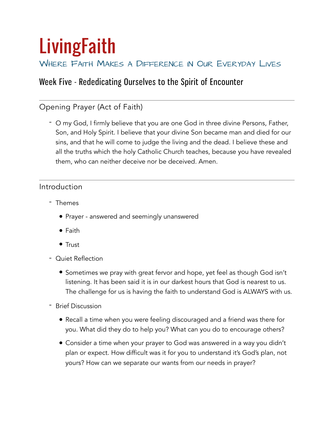# **LivingFaith**

## WHERE FAITH MAKES A DIFFERENCE IN OUR EVERYDAY LIVES

# Week Five - Rededicating Ourselves to the Spirit of Encounter

## Opening Prayer (Act of Faith)

- O my God, I firmly believe that you are one God in three divine Persons, Father, Son, and Holy Spirit. I believe that your divine Son became man and died for our sins, and that he will come to judge the living and the dead. I believe these and all the truths which the holy Catholic Church teaches, because you have revealed them, who can neither deceive nor be deceived. Amen.

#### Introduction

- Themes
	- Prayer answered and seemingly unanswered
	- Faith
	- Trust
- Quiet Reflection
	- Sometimes we pray with great fervor and hope, yet feel as though God isn't listening. It has been said it is in our darkest hours that God is nearest to us. The challenge for us is having the faith to understand God is ALWAYS with us.
- Brief Discussion
	- Recall a time when you were feeling discouraged and a friend was there for you. What did they do to help you? What can you do to encourage others?
	- Consider a time when your prayer to God was answered in a way you didn't plan or expect. How difficult was it for you to understand it's God's plan, not yours? How can we separate our wants from our needs in prayer?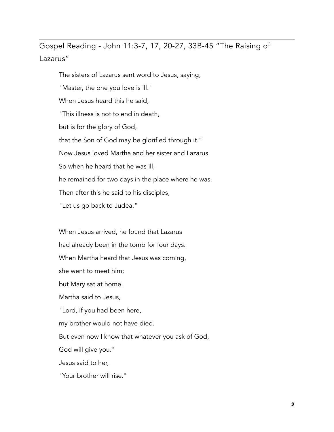Gospel Reading - John 11:3-7, 17, 20-27, 33B-45 "The Raising of Lazarus"

The sisters of Lazarus sent word to Jesus, saying, "Master, the one you love is ill." When Jesus heard this he said, "This illness is not to end in death, but is for the glory of God, that the Son of God may be glorified through it." Now Jesus loved Martha and her sister and Lazarus. So when he heard that he was ill, he remained for two days in the place where he was. Then after this he said to his disciples, "Let us go back to Judea."

When Jesus arrived, he found that Lazarus had already been in the tomb for four days. When Martha heard that Jesus was coming, she went to meet him; but Mary sat at home. Martha said to Jesus, "Lord, if you had been here, my brother would not have died. But even now I know that whatever you ask of God, God will give you." Jesus said to her, "Your brother will rise."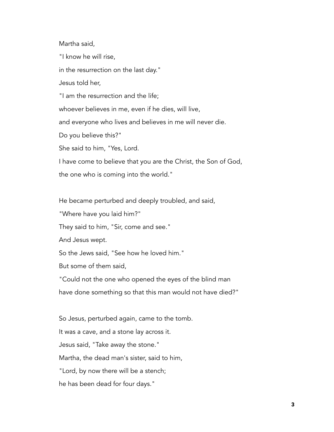Martha said,

"I know he will rise,

in the resurrection on the last day."

Jesus told her,

"I am the resurrection and the life;

whoever believes in me, even if he dies, will live,

and everyone who lives and believes in me will never die.

Do you believe this?"

She said to him, "Yes, Lord.

I have come to believe that you are the Christ, the Son of God,

the one who is coming into the world."

He became perturbed and deeply troubled, and said,

"Where have you laid him?"

They said to him, "Sir, come and see."

And Jesus wept.

So the Jews said, "See how he loved him."

But some of them said,

"Could not the one who opened the eyes of the blind man

have done something so that this man would not have died?"

So Jesus, perturbed again, came to the tomb. It was a cave, and a stone lay across it. Jesus said, "Take away the stone." Martha, the dead man's sister, said to him, "Lord, by now there will be a stench; he has been dead for four days."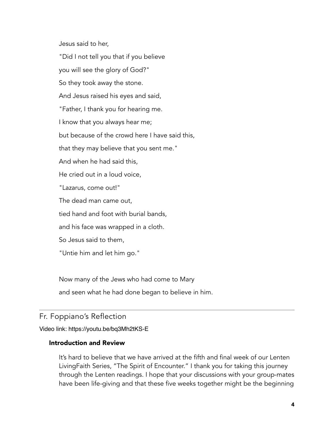Jesus said to her,

"Did I not tell you that if you believe you will see the glory of God?" So they took away the stone. And Jesus raised his eyes and said, "Father, I thank you for hearing me. I know that you always hear me; but because of the crowd here I have said this, that they may believe that you sent me." And when he had said this, He cried out in a loud voice, "Lazarus, come out!" The dead man came out, tied hand and foot with burial bands, and his face was wrapped in a cloth. So Jesus said to them, "Untie him and let him go."

Now many of the Jews who had come to Mary and seen what he had done began to believe in him.

## Fr. Foppiano's Reflection

Video link: <https://youtu.be/bq3Mh2tKS-E>

#### Introduction and Review

It's hard to believe that we have arrived at the fifth and final week of our Lenten LivingFaith Series, "The Spirit of Encounter." I thank you for taking this journey through the Lenten readings. I hope that your discussions with your group-mates have been life-giving and that these five weeks together might be the beginning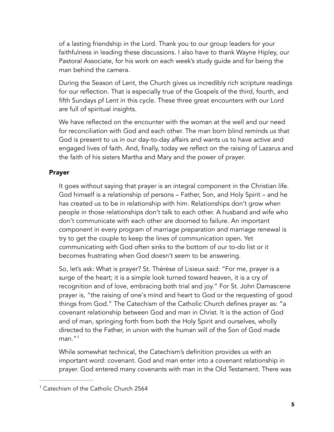of a lasting friendship in the Lord. Thank you to our group leaders for your faithfulness in leading these discussions. I also have to thank Wayne Hipley, our Pastoral Associate, for his work on each week's study guide and for being the man behind the camera.

During the Season of Lent, the Church gives us incredibly rich scripture readings for our reflection. That is especially true of the Gospels of the third, fourth, and fifth Sundays pf Lent in this cycle. These three great encounters with our Lord are full of spiritual insights.

We have reflected on the encounter with the woman at the well and our need for reconciliation with God and each other. The man born blind reminds us that God is present to us in our day-to-day affairs and wants us to have active and engaged lives of faith. And, finally, today we reflect on the raising of Lazarus and the faith of his sisters Martha and Mary and the power of prayer.

#### Prayer

It goes without saying that prayer is an integral component in the Christian life. God himself is a relationship of persons – Father, Son, and Holy Spirit – and he has created us to be in relationship with him. Relationships don't grow when people in those relationships don't talk to each other. A husband and wife who don't communicate with each other are doomed to failure. An important component in every program of marriage preparation and marriage renewal is try to get the couple to keep the lines of communication open. Yet communicating with God often sinks to the bottom of our to-do list or it becomes frustrating when God doesn't seem to be answering.

So, let's ask: What is prayer? St. Thérèse of Lisieux said: "For me, prayer is a surge of the heart; it is a simple look turned toward heaven, it is a cry of recognition and of love, embracing both trial and joy." For St. John Damascene prayer is, "the raising of one's mind and heart to God or the requesting of good things from God." The Catechism of the Catholic Church defines prayer as: "a covenant relationship between God and man in Christ. It is the action of God and of man, springing forth from both the Holy Spirit and ourselves, wholly directed to the Father, in union with the human will of the Son of God made  $man.$ "[1](#page-4-0)

<span id="page-4-1"></span>While somewhat technical, the Catechism's definition provides us with an important word: covenant. God and man enter into a covenant relationship in prayer. God entered many covenants with man in the Old Testament. There was

<span id="page-4-0"></span><sup>&</sup>lt;sup>[1](#page-4-1)</sup> Catechism of the Catholic Church 2564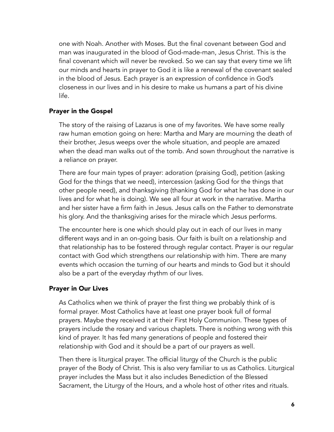one with Noah. Another with Moses. But the final covenant between God and man was inaugurated in the blood of God-made-man, Jesus Christ. This is the final covenant which will never be revoked. So we can say that every time we lift our minds and hearts in prayer to God it is like a renewal of the covenant sealed in the blood of Jesus. Each prayer is an expression of confidence in God's closeness in our lives and in his desire to make us humans a part of his divine life.

#### Prayer in the Gospel

The story of the raising of Lazarus is one of my favorites. We have some really raw human emotion going on here: Martha and Mary are mourning the death of their brother, Jesus weeps over the whole situation, and people are amazed when the dead man walks out of the tomb. And sown throughout the narrative is a reliance on prayer.

There are four main types of prayer: adoration (praising God), petition (asking God for the things that we need), intercession (asking God for the things that other people need), and thanksgiving (thanking God for what he has done in our lives and for what he is doing). We see all four at work in the narrative. Martha and her sister have a firm faith in Jesus. Jesus calls on the Father to demonstrate his glory. And the thanksgiving arises for the miracle which Jesus performs.

The encounter here is one which should play out in each of our lives in many different ways and in an on-going basis. Our faith is built on a relationship and that relationship has to be fostered through regular contact. Prayer is our regular contact with God which strengthens our relationship with him. There are many events which occasion the turning of our hearts and minds to God but it should also be a part of the everyday rhythm of our lives.

#### Prayer in Our Lives

As Catholics when we think of prayer the first thing we probably think of is formal prayer. Most Catholics have at least one prayer book full of formal prayers. Maybe they received it at their First Holy Communion. These types of prayers include the rosary and various chaplets. There is nothing wrong with this kind of prayer. It has fed many generations of people and fostered their relationship with God and it should be a part of our prayers as well.

Then there is liturgical prayer. The official liturgy of the Church is the public prayer of the Body of Christ. This is also very familiar to us as Catholics. Liturgical prayer includes the Mass but it also includes Benediction of the Blessed Sacrament, the Liturgy of the Hours, and a whole host of other rites and rituals.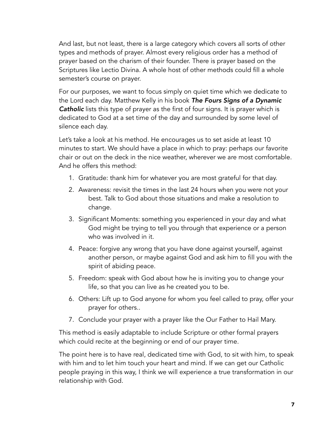And last, but not least, there is a large category which covers all sorts of other types and methods of prayer. Almost every religious order has a method of prayer based on the charism of their founder. There is prayer based on the Scriptures like Lectio Divina. A whole host of other methods could fill a whole semester's course on prayer.

For our purposes, we want to focus simply on quiet time which we dedicate to the Lord each day. Matthew Kelly in his book *The Fours Signs of a Dynamic Catholic* lists this type of prayer as the first of four signs. It is prayer which is dedicated to God at a set time of the day and surrounded by some level of silence each day.

Let's take a look at his method. He encourages us to set aside at least 10 minutes to start. We should have a place in which to pray: perhaps our favorite chair or out on the deck in the nice weather, wherever we are most comfortable. And he offers this method:

- 1. Gratitude: thank him for whatever you are most grateful for that day.
- 2. Awareness: revisit the times in the last 24 hours when you were not your best. Talk to God about those situations and make a resolution to change.
- 3. Significant Moments: something you experienced in your day and what God might be trying to tell you through that experience or a person who was involved in it.
- 4. Peace: forgive any wrong that you have done against yourself, against another person, or maybe against God and ask him to fill you with the spirit of abiding peace.
- 5. Freedom: speak with God about how he is inviting you to change your life, so that you can live as he created you to be.
- 6. Others: Lift up to God anyone for whom you feel called to pray, offer your prayer for others..
- 7. Conclude your prayer with a prayer like the Our Father to Hail Mary.

This method is easily adaptable to include Scripture or other formal prayers which could recite at the beginning or end of our prayer time.

The point here is to have real, dedicated time with God, to sit with him, to speak with him and to let him touch your heart and mind. If we can get our Catholic people praying in this way, I think we will experience a true transformation in our relationship with God.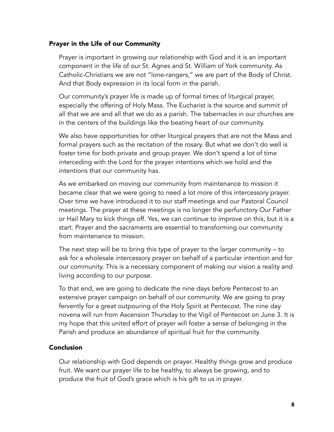#### Prayer in the Life of our Community

Prayer is important in growing our relationship with God and it is an important component in the life of our St. Agnes and St. William of York community. As Catholic-Christians we are not "lone-rangers," we are part of the Body of Christ. And that Body expression in its local form in the parish.

Our community's prayer life is made up of formal times of liturgical prayer, especially the offering of Holy Mass. The Eucharist is the source and summit of all that we are and all that we do as a parish. The tabernacles in our churches are in the centers of the buildings like the beating heart of our community.

We also have opportunities for other liturgical prayers that are not the Mass and formal prayers such as the recitation of the rosary. But what we don't do well is foster time for both private and group prayer. We don't spend a lot of time interceding with the Lord for the prayer intentions which we hold and the intentions that our community has.

As we embarked on moving our community from maintenance to mission it became clear that we were going to need a lot more of this intercessory prayer. Over time we have introduced it to our staff meetings and our Pastoral Council meetings. The prayer at these meetings is no longer the perfunctory Our Father or Hail Mary to kick things off. Yes, we can continue to improve on this, but it is a start. Prayer and the sacraments are essential to transforming our community from maintenance to mission.

The next step will be to bring this type of prayer to the larger community – to ask for a wholesale intercessory prayer on behalf of a particular intention and for our community. This is a necessary component of making our vision a reality and living according to our purpose.

To that end, we are going to dedicate the nine days before Pentecost to an extensive prayer campaign on behalf of our community. We are going to pray fervently for a great outpouring of the Holy Spirit at Pentecost. The nine day novena will run from Ascension Thursday to the Vigil of Pentecost on June 3. It is my hope that this united effort of prayer will foster a sense of belonging in the Parish and produce an abundance of spiritual fruit for the community.

#### Conclusion

Our relationship with God depends on prayer. Healthy things grow and produce fruit. We want our prayer life to be healthy, to always be growing, and to produce the fruit of God's grace which is his gift to us in prayer.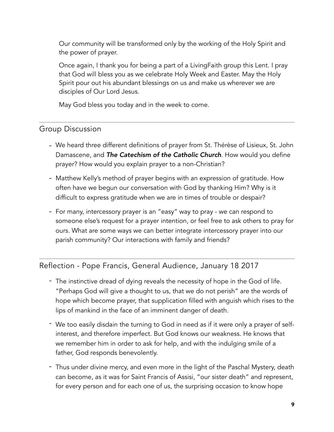Our community will be transformed only by the working of the Holy Spirit and the power of prayer.

Once again, I thank you for being a part of a LivingFaith group this Lent. I pray that God will bless you as we celebrate Holy Week and Easter. May the Holy Spirit pour out his abundant blessings on us and make us wherever we are disciples of Our Lord Jesus.

May God bless you today and in the week to come.

## Group Discussion

- We heard three different definitions of prayer from St. Thérèse of Lisieux, St. John Damascene, and *The Catechism of the Catholic Church*. How would you define prayer? How would you explain prayer to a non-Christian?
- Matthew Kelly's method of prayer begins with an expression of gratitude. How often have we begun our conversation with God by thanking Him? Why is it difficult to express gratitude when we are in times of trouble or despair?
- For many, intercessory prayer is an "easy" way to pray we can respond to someone else's request for a prayer intention, or feel free to ask others to pray for ours. What are some ways we can better integrate intercessory prayer into our parish community? Our interactions with family and friends?

## Reflection - Pope Francis, General Audience, January 18 2017

- The instinctive dread of dying reveals the necessity of hope in the God of life. "Perhaps God will give a thought to us, that we do not perish" are the words of hope which become prayer, that supplication filled with anguish which rises to the lips of mankind in the face of an imminent danger of death.
- We too easily disdain the turning to God in need as if it were only a prayer of selfinterest, and therefore imperfect. But God knows our weakness. He knows that we remember him in order to ask for help, and with the indulging smile of a father, God responds benevolently.
- Thus under divine mercy, and even more in the light of the Paschal Mystery, death can become, as it was for Saint Francis of Assisi, "our sister death" and represent, for every person and for each one of us, the surprising occasion to know hope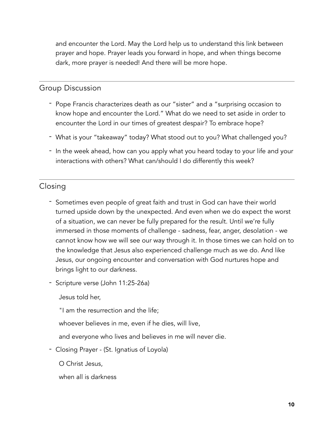and encounter the Lord. May the Lord help us to understand this link between prayer and hope. Prayer leads you forward in hope, and when things become dark, more prayer is needed! And there will be more hope.

### Group Discussion

- Pope Francis characterizes death as our "sister" and a "surprising occasion to know hope and encounter the Lord." What do we need to set aside in order to encounter the Lord in our times of greatest despair? To embrace hope?
- What is your "takeaway" today? What stood out to you? What challenged you?
- In the week ahead, how can you apply what you heard today to your life and your interactions with others? What can/should I do differently this week?

## Closing

- Sometimes even people of great faith and trust in God can have their world turned upside down by the unexpected. And even when we do expect the worst of a situation, we can never be fully prepared for the result. Until we're fully immersed in those moments of challenge - sadness, fear, anger, desolation - we cannot know how we will see our way through it. In those times we can hold on to the knowledge that Jesus also experienced challenge much as we do. And like Jesus, our ongoing encounter and conversation with God nurtures hope and brings light to our darkness.
- Scripture verse (John 11:25-26a)

Jesus told her,

"I am the resurrection and the life;

whoever believes in me, even if he dies, will live,

and everyone who lives and believes in me will never die.

- Closing Prayer - (St. Ignatius of Loyola)

O Christ Jesus,

when all is darkness